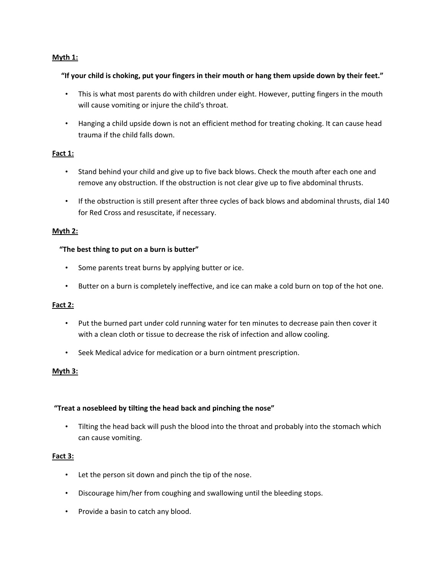# **Myth 1:**

## "If your child is choking, put your fingers in their mouth or hang them upside down by their feet."

- This is what most parents do with children under eight. However, putting fingers in the mouth will cause vomiting or injure the child's throat.
- Hanging a child upside down is not an efficient method for treating choking. It can cause head trauma if the child falls down.

# **Fact 1:**

- Stand behind your child and give up to five back blows. Check the mouth after each one and remove any obstruction. If the obstruction is not clear give up to five abdominal thrusts.
- If the obstruction is still present after three cycles of back blows and abdominal thrusts, dial 140 for Red Cross and resuscitate, if necessary.

## **Myth 2:**

## **"The best thing to put on a burn is butter"**

- Some parents treat burns by applying butter or ice.
- Butter on a burn is completely ineffective, and ice can make a cold burn on top of the hot one.

#### **Fact 2:**

- Put the burned part under cold running water for ten minutes to decrease pain then cover it with a clean cloth or tissue to decrease the risk of infection and allow cooling.
- Seek Medical advice for medication or a burn ointment prescription.

## **Myth 3:**

#### **"Treat a nosebleed by tilting the head back and pinching the nose"**

• Tilting the head back will push the blood into the throat and probably into the stomach which can cause vomiting.

#### **Fact 3:**

- Let the person sit down and pinch the tip of the nose.
- Discourage him/her from coughing and swallowing until the bleeding stops.
- Provide a basin to catch any blood.